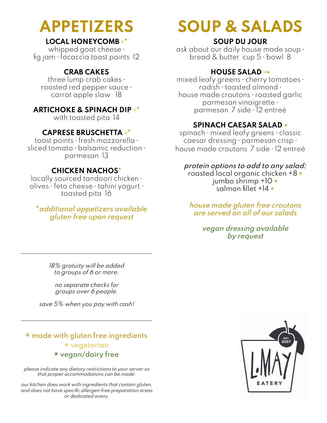# **APPETIZERS**

#### **LOCAL HONEYCOMB** ◉**\***

whipped goat cheese ∙ fig jam ∙ focaccia toast points 12

### **CRAB CAKES**

three lump crab cakes ∙ roasted red pepper sauce ∙ carrot apple slaw 18

#### **ARTICHOKE & SPINACH DIP** ◉**\***

with toasted pita 14

### **CAPRESE BRUSCHETTA** ◉**\***

toast points ∙ fresh mozzarella ∙ sliced tomato ∙ balsamic reduction ∙ parmesan 13

#### **CHICKEN NACHOS\***

locally sourced tandoori chicken ∙ olives ∙ feta cheese ∙ tahini yogurt ∙ toasted pita 16

**\***additional appetizers available <sup>g</sup>luten free upon request

# **SOUP & SALADS**

### **SOUP DU JOUR**

ask about our daily house made soup ∙ bread & butter cup 5 ∙ bowl 8

### **HOUSE SALAD** ◉◉

mixed leafy greens ∙ cherry tomatoes ∙ radish ∙ toasted almond ∙ house made croutons ∙ roasted garlic parmesan vinaigrette ∙ parmesan 7 side ∙ 12 entreé

#### **SPINACH CAESAR SALAD** ◉

spinach ∙ mixed leafy greens ∙ classic caesar dressing ∙ parmesan crisp ∙ house made croutons 7 side ∙ 12 entreé

#### protein options to add to any salad:

roasted local organic chicken +8 ◉ jumbo shrimp +10 ◉ salmon fillet +14 ◉

house made <sup>g</sup>luten free croutons are served on all of our salads

> vegan dressing available by request

18% gratuity will be added to groups of 6 or more.

no separate checks for groups over 6 people.

save 5% when you pay with cash!

#### ◉ made with gluten free ingredients ◉ vegetarian ◉ vegan/dairy free

please indicate any dietary restrictions to your server so that proper accommodations can be made.

our kitchen does work with ingredients that contain gluten, and does not have specific allergen free preparation areas or dedicated ovens.

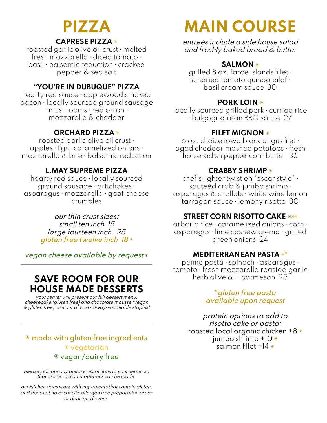# **PIZZA**

#### **CAPRESE PIZZA** ◉

roasted garlic olive oil crust ∙ melted fresh mozzarella ∙ diced tomato ∙ basil ∙ balsamic reduction ∙ cracked pepper & sea salt

#### **"YOU'RE IN DUBUQUE" PIZZA**

hearty red sauce ∙ applewood smoked bacon ∙ locally sourced ground sausage ∙ mushrooms ∙ red onion ∙ mozzarella & cheddar

#### **ORCHARD PIZZA** ◉

roasted garlic olive oil crust ∙ apples ∙ figs ∙ caramelized onions ∙ mozzarella & brie ∙ balsamic reduction

#### **L.MAY SUPREME PIZZA**

hearty red sauce ∙ locally sourced ground sausage ∙ artichokes ∙ asparagus ∙ mozzarella ∙ goat cheese crumbles

#### our thin crust sizes:

small ten inch 15 large fourteen inch 25 <sup>g</sup>luten free twelve inch 18 ◉

vegan cheese available by request ◉

## **SAVE ROOM FOR OUR HOUSE MADE DESSERTS**

your server will presen<sup>t</sup> our full dessert menu, cheesecake (gluten free) and chocolate mousse (vegan & <sup>g</sup>luten free) are our almost-always-available staples!

#### ◉ made with gluten free ingredients ◉ vegetarian ◉ vegan/dairy free

please indicate any dietary restrictions to your server so that proper accommodations can be made.

our kitchen does work with ingredients that contain gluten, and does not have specific allergen free preparation areas or dedicated ovens.

# **MAIN COURSE**

entreés include <sup>a</sup> side house salad and freshly baked bread & butter

#### **SALMON** ◉

grilled 8 oz. faroe islands fillet ∙ sundried tomato quinoa pilaf ∙ basil cream sauce 30

#### **PORK LOIN** ◉

locally sourced grilled pork ∙ curried rice ∙ bulgogi korean BBQ sauce 27

#### **FILET MIGNON** ◉

6 oz. choice iowa black angus filet ∙ aged cheddar mashed potatoes ∙ fresh horseradish peppercorn butter 36

#### **CRABBY SHRIMP** ◉

chef's lighter twist on "oscar style" ∙ sauteéd crab & jumbo shrimp ∙ asparagus & shallots ∙ white wine lemon tarragon sauce ∙ lemony risotto 30

#### **STREET CORN RISOTTO CAKE** ◉◉◉

arborio rice ∙ caramelized onions ∙ corn ∙ asparagus ∙ lime cashew crema ∙ grilled green onions 24

#### **MEDITERRANEAN PASTA** ◉**\***

penne pasta ∙ spinach ∙ asparagus ∙ tomato ∙ fresh mozzarella roasted garlic herb olive oil ∙ parmesan 25

> **\***gluten free pasta available upon request

protein options to add to risotto cake or pasta: roasted local organic chicken +8 ◉ jumbo shrimp +10 ◉ salmon fillet +14 ◉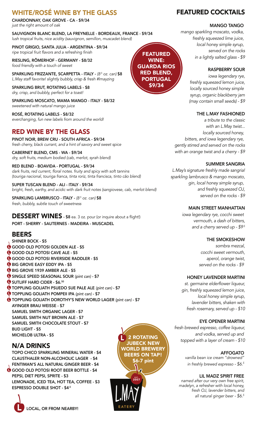## WHITE/ROSÉ WINE BY THE GLASS

CHARDONNAY, OAK GROVE - CA - \$9/34 *just the right amount of oak*

SAUVIGNON BLANC BLEND, LA FREYNELLE - BORDEAUX, FRANCE - \$9/34 *lush tropical fruits, nice acidity (sauvignon, semillon, muscadet blend)* 

PINOT GRIGIO, SANTA JULIA - ARGENTINA - \$9/34 *ripe tropical fruit flavors and a refreshing finish*

RIESLING, RÖMERHOF - GERMANY - \$8/32 *food friendly with a touch of sweet* 

SPARKLING FRIZZANTE, SCARPETTA - ITALY - *(8.5 oz. can)* \$8 *L.May staff favorite! slightly bubbly, crisp & fresh #lmayzing*

SPARKLING BRUT, ROTATING LABELS - \$8 *dry, crisp, and bubbly, perfect for a toast!*

SPARKLING MOSCATO, MAMA MANGO - ITALY - \$8/32 *sweetened with natural mango juice*

ROSÉ, ROTATING LABELS - \$8/32 *everchanging, fun new labels from around the world!*

### RED WINE BY THE GLASS

PINOT NOIR, BREW CRU - SOUTH AFRICA - \$9/34 *fresh cherry, black currant, and a hint of savory and sweet spice*

CABERNET BLEND, CMS - WA - \$9/34 *dry, soft fruits, medium bodied (cab, merlot, syrah blend)*

RED BLEND - BOAVIDA - PORTUGAL - \$9/34 *dark fruits, red current, floral notes. fruity and spicy with soft tannins (touriga nacional, touriga franca, tinta roriz, tinta francisca, tinto cão blend)*

SUPER TUSCAN BLEND - ALI - ITALY - \$9/34 *bright, fresh, earthy, and acidic with dark fruit notes (sangiovese, cab, merlot blend)*

SPARKLING LAMBRUSCO - ITALY - *(8.5 oz. can)* \$8 *fresh, bubbly, subtle touch of sweetness*

DESSERT WINES - \$8 ea. 3 oz. pour (or inquire about a flight!) PORT - SHERRY - SAUTERNES - MADEIRA - MUSCADEL

#### BEERS

- SHINER BOCK \$5
- GOOD OLD POTOSI GOLDEN ALE \$5
- GOOD OLD POTOSI CAVE ALE \$5
- GOOD OLD POTOSI RIVERSIDE RADDLER \$5
- BIG GROVE EASY EDDY IPA \$5
- BIG GROVE 1939 AMBER ALE \$5
- SINGLE SPEED SEASONAL SOUR *(pint can)* \$7
- SUTLIFF HARD CIDER \$6.50
- TOPPLING GOLIATH PSUEDO SUE PALE ALE *(pint can)* \$7
- TOPPLING GOLIATH POMPEII IPA *(pint can)* \$7

TOPPLING GOLIATH DOROTHY'S NEW WORLD LAGER *(pint can)* - \$7 AYINGER BRAU WEISSE - \$7 SAMUEL SMITH ORGANIC LAGER - \$7 SAMUEL SMITH NUT BROWN ALE - \$7 SAMUEL SMITH CHOCOLATE STOUT - \$7 BUD LIGHT - \$5 MICHELOB ULTRA - \$5

### N/A DRINKS

TOPO CHICO SPARKLING MINERAL WATER - \$4 CLAUSTHALER NON-ALCOHOLIC LAGER - \$4 FENTIMAN'S ALL NATURAL GINGER BEER - \$4 GOOD OLD POTOSI ROOT BEER BOTTLE - \$4 PEPSI, DIET PEPSI, SPRITE - \$3 LEMONADE, ICED TEA, HOT TEA, COFFEE - \$3 ESPRESSO DOUBLE SHOT - \$4.5



JUBECK NEW WORLD BREWERY BEERS ON TAP! \$6-7 pint

## FEATURED COCKTAILS

#### MANGO TANGO

*mango sparkling moscato, vodka, freshly squeezed lime juice, local honey simple syrup, served on the rocks in a lightly salted glass - \$9*

#### RASPBERRY SOUR

*iowa legendary rye, freshly squeezed lemon juice, locally sourced honey simple syrup, organic blackberry jam (may contain small seeds) - \$9*

#### THE L.MAY FASHIONED

*a tribute to the classic with an L.May twist... locally sourced honey, bitters, and iowa legendary rye, gently stirred and served on the rocks with an orange twist and a cherry - \$9*

#### SUMMER SANGRIA

*L.May's signature freshly made sangria! sparkling lambrusco & mango moscato, gin, local honey simple syrup, and freshly squeezed OJ, served on the rocks - \$9*

#### MAIN STREET MANHATTAN

*iowa legendary rye, cocchi sweet vermouth, a dash of bitters, and a cherry served up - \$9.5*

#### THE SMOKESHOW

*sombra mezcal, cocchi sweet vermouth, aperol, orange twist, served on the rocks - \$9* 

#### HONEY LAVENDER MARTINI

*st. germaine elderflower liqueur, gin, freshly squeezed lemon juice, local honey simple syrup, lavender bitters, shaken with fresh rosemary, served up - \$10*

#### EYE OPENER MARTINI

*fresh brewed espresso, coffee liqueur, and vodka, served up and*  **2 ROTATING** *topped with a layer of cream - \$10* 

#### AFFOGATO

*vanilla bean ice cream "drowned" in freshly brewed espresso - \$6.5* 

#### LIL MADZ SPIRIT FREE

*named after our very own free spirit, madelyn, a refresher with local honey, fresh OJ, lavender bitters, and all natural ginger beer - \$6.5*

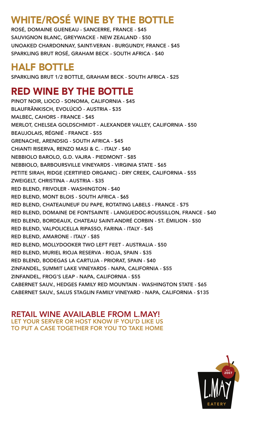# WHITE/ROSÉ WINE BY THE BOTTLE

ROSÉ, DOMAINE GUENEAU - SANCERRE, FRANCE - \$45 SAUVIGNON BLANC, GREYWACKE - NEW ZEALAND - \$50 UNOAKED CHARDONNAY, SAINT-VERAN - BURGUNDY, FRANCE - \$45 SPARKLING BRUT ROSÉ, GRAHAM BECK - SOUTH AFRICA - \$40

# HALF BOTTLE

SPARKLING BRUT 1/2 BOTTLE, GRAHAM BECK - SOUTH AFRICA - \$25

# RED WINE BY THE BOTTLE

PINOT NOIR, LIOCO - SONOMA, CALIFORNIA - \$45 BLAUFRÄNKISCH, EVOLÚCIÓ - AUSTRIA - \$35 MALBEC, CAHORS - FRANCE - \$45 MERLOT, CHELSEA GOLDSCHMIDT - ALEXANDER VALLEY, CALIFORNIA - \$50 BEAUJOLAIS, RÉGNIÉ - FRANCE - \$55 GRENACHE, ARENDSIG - SOUTH AFRICA - \$45 CHIANTI RISERVA, RENZO MASI & C. - ITALY - \$40 NEBBIOLO BAROLO, G.D. VAJRA - PIEDMONT - \$85 NEBBIOLO, BARBOURSVILLE VINEYARDS - VIRGINIA STATE - \$65 PETITE SIRAH, RIDGE (CERTIFIED ORGANIC) - DRY CREEK, CALIFORNIA - \$55 ZWEIGELT, CHRISTINA - AUSTRIA - \$35 RED BLEND, FRIVOLER - WASHINGTON - \$40 RED BLEND, MONT BLOIS - SOUTH AFRICA - \$65 RED BLEND, CHATEAUNEUF DU PAPE, ROTATING LABELS - FRANCE - \$75 RED BLEND, DOMAINE DE FONTSAINTE - LANGUEDOC-ROUSSILLON, FRANCE - \$40 RED BLEND, BORDEAUX, CHATEAU SAINT-ANDRÉ CORBIN - ST. ÉMILION - \$50 RED BLEND, VALPOLICELLA RIPASSO, FARINA - ITALY - \$45 RED BLEND, AMARONE - ITALY - \$85 RED BLEND, MOLLYDOOKER TWO LEFT FEET - AUSTRALIA - \$50 RED BLEND, MURIEL RIOJA RESERVA - RIOJA, SPAIN - \$35 RED BLEND, BODEGAS LA CARTUJA - PRIORAT, SPAIN - \$40 ZINFANDEL, SUMMIT LAKE VINEYARDS - NAPA, CALIFORNIA - \$55 ZINFANDEL, FROG'S LEAP - NAPA, CALIFORNIA - \$55 CABERNET SAUV., HEDGES FAMILY RED MOUNTAIN - WASHINGTON STATE - \$65 CABERNET SAUV., SALUS STAGLIN FAMILY VINEYARD - NAPA, CALIFORNIA - \$135

RETAIL WINE AVAILABLE FROM L.MAY! LET YOUR SERVER OR HOST KNOW IF YOU'D LIKE US TO PUT A CASE TOGETHER FOR YOU TO TAKE HOME